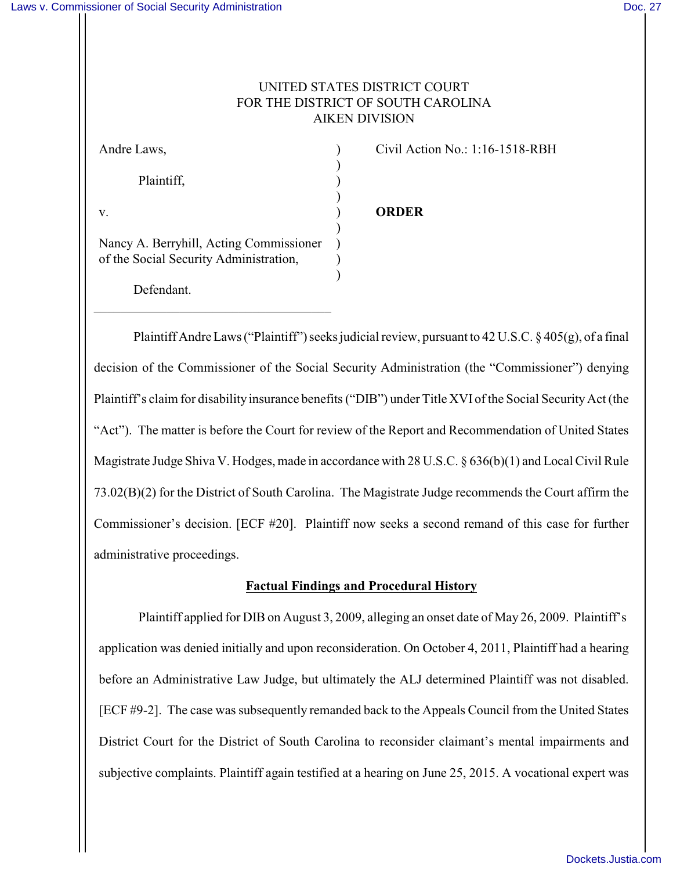# UNITED STATES DISTRICT COURT FOR THE DISTRICT OF SOUTH CAROLINA AIKEN DIVISION

)

)

)

)

Plaintiff, )

Civil Action No.: 1:16-1518-RBH

v. ) **ORDER**

Nancy A. Berryhill, Acting Commissioner ) of the Social Security Administration,

 $\_$  . The contribution of the contribution of  $\mathcal{L}_\mathcal{A}$ 

Defendant.

Plaintiff Andre Laws ("Plaintiff") seeks judicial review, pursuant to 42 U.S.C. § 405(g), of a final decision of the Commissioner of the Social Security Administration (the "Commissioner") denying Plaintiff's claim for disability insurance benefits ("DIB") under Title XVI of the Social Security Act (the "Act"). The matter is before the Court for review of the Report and Recommendation of United States Magistrate Judge Shiva V. Hodges, made in accordance with 28 U.S.C. § 636(b)(1) and Local Civil Rule 73.02(B)(2) for the District of South Carolina. The Magistrate Judge recommends the Court affirm the Commissioner's decision. [ECF #20]. Plaintiff now seeks a second remand of this case for further administrative proceedings.

## **Factual Findings and Procedural History**

Plaintiff applied for DIB on August 3, 2009, alleging an onset date of May 26, 2009. Plaintiff's application was denied initially and upon reconsideration. On October 4, 2011, Plaintiff had a hearing before an Administrative Law Judge, but ultimately the ALJ determined Plaintiff was not disabled. [ECF #9-2]. The case was subsequently remanded back to the Appeals Council from the United States District Court for the District of South Carolina to reconsider claimant's mental impairments and subjective complaints. Plaintiff again testified at a hearing on June 25, 2015. A vocational expert was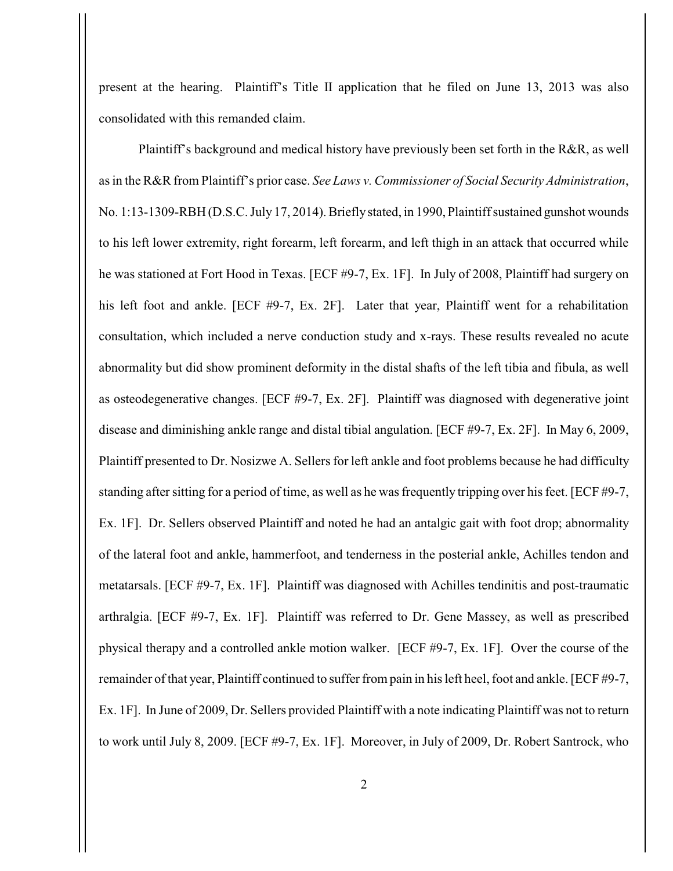present at the hearing. Plaintiff's Title II application that he filed on June 13, 2013 was also consolidated with this remanded claim.

Plaintiff's background and medical history have previously been set forth in the R&R, as well as in the R&R from Plaintiff's prior case. *See Laws v. Commissioner of Social Security Administration*, No. 1:13-1309-RBH (D.S.C. July 17, 2014). Briefly stated, in 1990, Plaintiff sustained gunshot wounds to his left lower extremity, right forearm, left forearm, and left thigh in an attack that occurred while he was stationed at Fort Hood in Texas. [ECF #9-7, Ex. 1F]. In July of 2008, Plaintiff had surgery on his left foot and ankle. [ECF #9-7, Ex. 2F]. Later that year, Plaintiff went for a rehabilitation consultation, which included a nerve conduction study and x-rays. These results revealed no acute abnormality but did show prominent deformity in the distal shafts of the left tibia and fibula, as well as osteodegenerative changes. [ECF #9-7, Ex. 2F]. Plaintiff was diagnosed with degenerative joint disease and diminishing ankle range and distal tibial angulation. [ECF #9-7, Ex. 2F]. In May 6, 2009, Plaintiff presented to Dr. Nosizwe A. Sellers for left ankle and foot problems because he had difficulty standing after sitting for a period of time, as well as he was frequently tripping over his feet. [ECF #9-7, Ex. 1F]. Dr. Sellers observed Plaintiff and noted he had an antalgic gait with foot drop; abnormality of the lateral foot and ankle, hammerfoot, and tenderness in the posterial ankle, Achilles tendon and metatarsals. [ECF #9-7, Ex. 1F]. Plaintiff was diagnosed with Achilles tendinitis and post-traumatic arthralgia. [ECF #9-7, Ex. 1F]. Plaintiff was referred to Dr. Gene Massey, as well as prescribed physical therapy and a controlled ankle motion walker. [ECF #9-7, Ex. 1F]. Over the course of the remainder of that year, Plaintiff continued to suffer from pain in his left heel, foot and ankle. [ECF #9-7, Ex. 1F]. In June of 2009, Dr. Sellers provided Plaintiff with a note indicating Plaintiff was not to return to work until July 8, 2009. [ECF #9-7, Ex. 1F]. Moreover, in July of 2009, Dr. Robert Santrock, who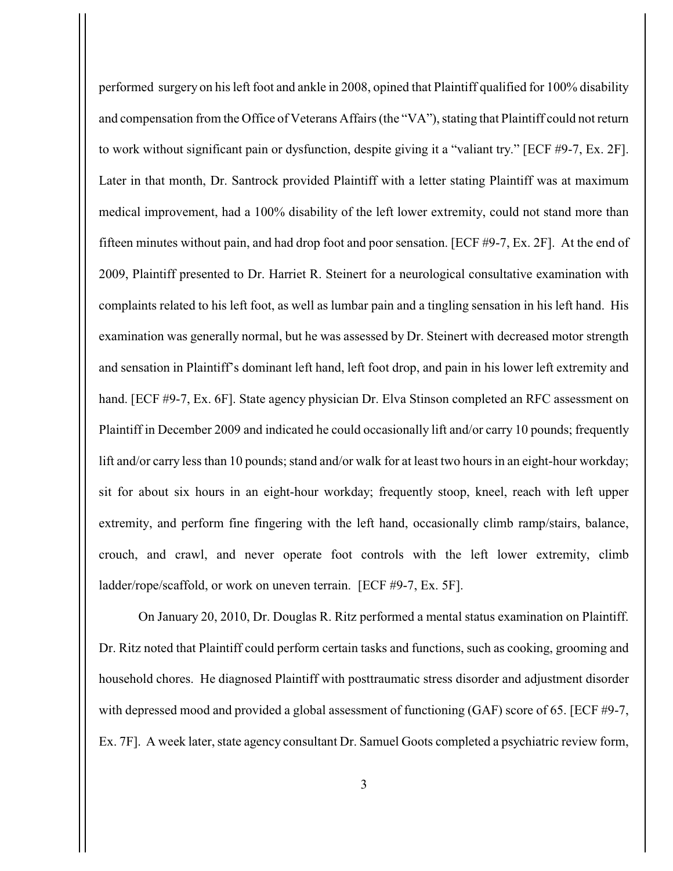performed surgery on his left foot and ankle in 2008, opined that Plaintiff qualified for 100% disability and compensation from the Office of Veterans Affairs (the "VA"), stating that Plaintiff could not return to work without significant pain or dysfunction, despite giving it a "valiant try." [ECF #9-7, Ex. 2F]. Later in that month, Dr. Santrock provided Plaintiff with a letter stating Plaintiff was at maximum medical improvement, had a 100% disability of the left lower extremity, could not stand more than fifteen minutes without pain, and had drop foot and poor sensation. [ECF #9-7, Ex. 2F]. At the end of 2009, Plaintiff presented to Dr. Harriet R. Steinert for a neurological consultative examination with complaints related to his left foot, as well as lumbar pain and a tingling sensation in his left hand. His examination was generally normal, but he was assessed by Dr. Steinert with decreased motor strength and sensation in Plaintiff's dominant left hand, left foot drop, and pain in his lower left extremity and hand. [ECF #9-7, Ex. 6F]. State agency physician Dr. Elva Stinson completed an RFC assessment on Plaintiff in December 2009 and indicated he could occasionally lift and/or carry 10 pounds; frequently lift and/or carry less than 10 pounds; stand and/or walk for at least two hours in an eight-hour workday; sit for about six hours in an eight-hour workday; frequently stoop, kneel, reach with left upper extremity, and perform fine fingering with the left hand, occasionally climb ramp/stairs, balance, crouch, and crawl, and never operate foot controls with the left lower extremity, climb ladder/rope/scaffold, or work on uneven terrain. [ECF #9-7, Ex. 5F].

On January 20, 2010, Dr. Douglas R. Ritz performed a mental status examination on Plaintiff. Dr. Ritz noted that Plaintiff could perform certain tasks and functions, such as cooking, grooming and household chores. He diagnosed Plaintiff with posttraumatic stress disorder and adjustment disorder with depressed mood and provided a global assessment of functioning (GAF) score of 65. [ECF #9-7, Ex. 7F]. A week later, state agency consultant Dr. Samuel Goots completed a psychiatric review form,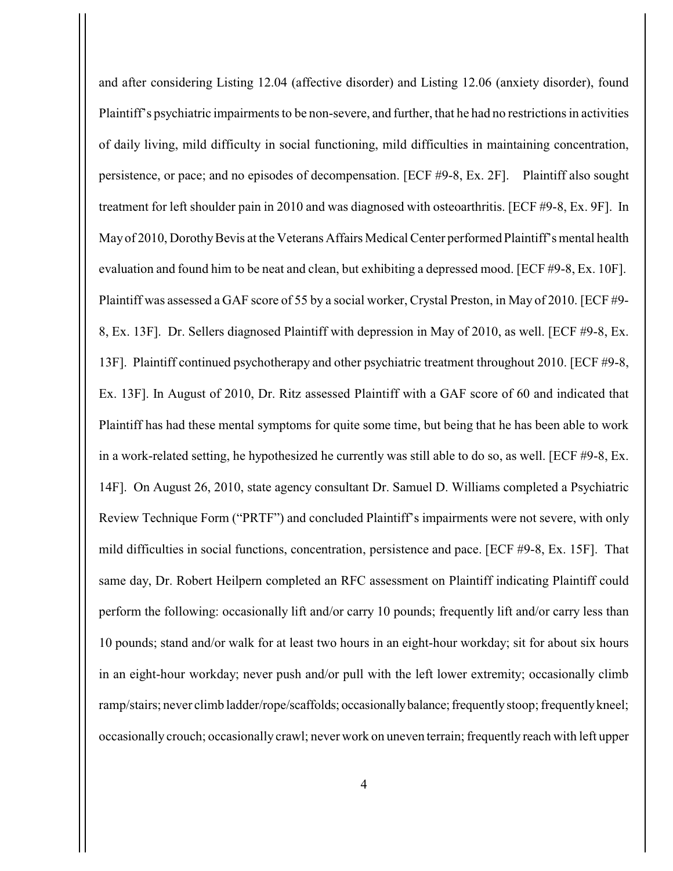and after considering Listing 12.04 (affective disorder) and Listing 12.06 (anxiety disorder), found Plaintiff's psychiatric impairments to be non-severe, and further, that he had no restrictions in activities of daily living, mild difficulty in social functioning, mild difficulties in maintaining concentration, persistence, or pace; and no episodes of decompensation. [ECF #9-8, Ex. 2F]. Plaintiff also sought treatment for left shoulder pain in 2010 and was diagnosed with osteoarthritis. [ECF #9-8, Ex. 9F]. In May of 2010, Dorothy Bevis at the Veterans Affairs Medical Center performed Plaintiff's mental health evaluation and found him to be neat and clean, but exhibiting a depressed mood. [ECF #9-8, Ex. 10F]. Plaintiff was assessed a GAF score of 55 by a social worker, Crystal Preston, in May of 2010. [ECF #9- 8, Ex. 13F]. Dr. Sellers diagnosed Plaintiff with depression in May of 2010, as well. [ECF #9-8, Ex. 13F]. Plaintiff continued psychotherapy and other psychiatric treatment throughout 2010. [ECF #9-8, Ex. 13F]. In August of 2010, Dr. Ritz assessed Plaintiff with a GAF score of 60 and indicated that Plaintiff has had these mental symptoms for quite some time, but being that he has been able to work in a work-related setting, he hypothesized he currently was still able to do so, as well. [ECF #9-8, Ex. 14F]. On August 26, 2010, state agency consultant Dr. Samuel D. Williams completed a Psychiatric Review Technique Form ("PRTF") and concluded Plaintiff's impairments were not severe, with only mild difficulties in social functions, concentration, persistence and pace. [ECF #9-8, Ex. 15F]. That same day, Dr. Robert Heilpern completed an RFC assessment on Plaintiff indicating Plaintiff could perform the following: occasionally lift and/or carry 10 pounds; frequently lift and/or carry less than 10 pounds; stand and/or walk for at least two hours in an eight-hour workday; sit for about six hours in an eight-hour workday; never push and/or pull with the left lower extremity; occasionally climb ramp/stairs; never climb ladder/rope/scaffolds; occasionally balance; frequently stoop; frequently kneel; occasionally crouch; occasionally crawl; never work on uneven terrain; frequently reach with left upper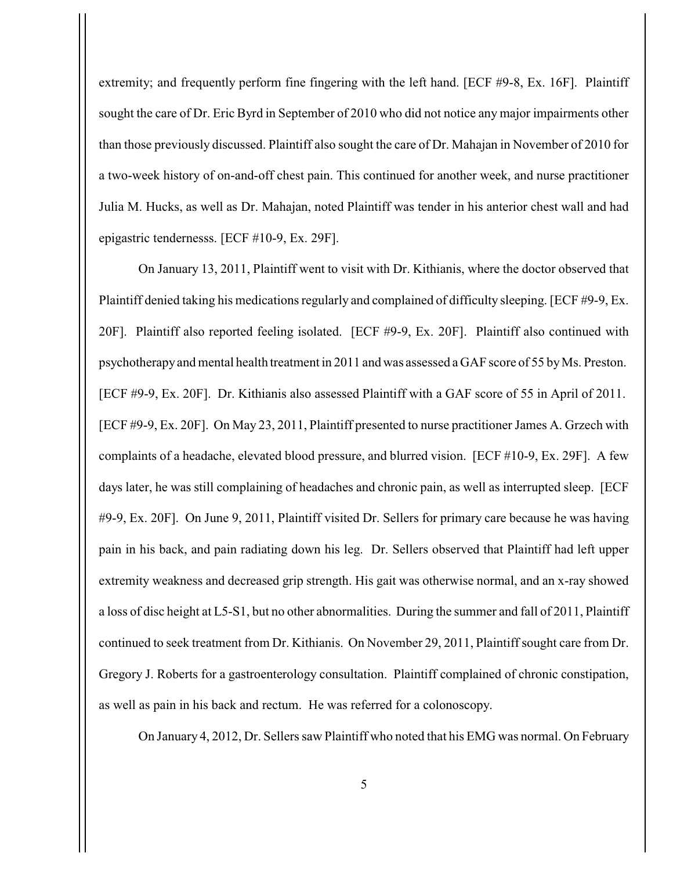extremity; and frequently perform fine fingering with the left hand. [ECF #9-8, Ex. 16F]. Plaintiff sought the care of Dr. Eric Byrd in September of 2010 who did not notice any major impairments other than those previously discussed. Plaintiff also sought the care of Dr. Mahajan in November of 2010 for a two-week history of on-and-off chest pain. This continued for another week, and nurse practitioner Julia M. Hucks, as well as Dr. Mahajan, noted Plaintiff was tender in his anterior chest wall and had epigastric tendernesss. [ECF #10-9, Ex. 29F].

On January 13, 2011, Plaintiff went to visit with Dr. Kithianis, where the doctor observed that Plaintiff denied taking his medications regularly and complained of difficulty sleeping. [ECF #9-9, Ex. 20F]. Plaintiff also reported feeling isolated. [ECF #9-9, Ex. 20F]. Plaintiff also continued with psychotherapy and mental health treatment in 2011 and was assessed a GAF score of 55 by Ms. Preston. [ECF #9-9, Ex. 20F]. Dr. Kithianis also assessed Plaintiff with a GAF score of 55 in April of 2011. [ECF #9-9, Ex. 20F]. On May 23, 2011, Plaintiff presented to nurse practitioner James A. Grzech with complaints of a headache, elevated blood pressure, and blurred vision. [ECF #10-9, Ex. 29F]. A few days later, he was still complaining of headaches and chronic pain, as well as interrupted sleep. [ECF #9-9, Ex. 20F]. On June 9, 2011, Plaintiff visited Dr. Sellers for primary care because he was having pain in his back, and pain radiating down his leg. Dr. Sellers observed that Plaintiff had left upper extremity weakness and decreased grip strength. His gait was otherwise normal, and an x-ray showed a loss of disc height at L5-S1, but no other abnormalities. During the summer and fall of 2011, Plaintiff continued to seek treatment from Dr. Kithianis. On November 29, 2011, Plaintiff sought care from Dr. Gregory J. Roberts for a gastroenterology consultation. Plaintiff complained of chronic constipation, as well as pain in his back and rectum. He was referred for a colonoscopy.

On January 4, 2012, Dr. Sellers saw Plaintiff who noted that his EMG was normal. On February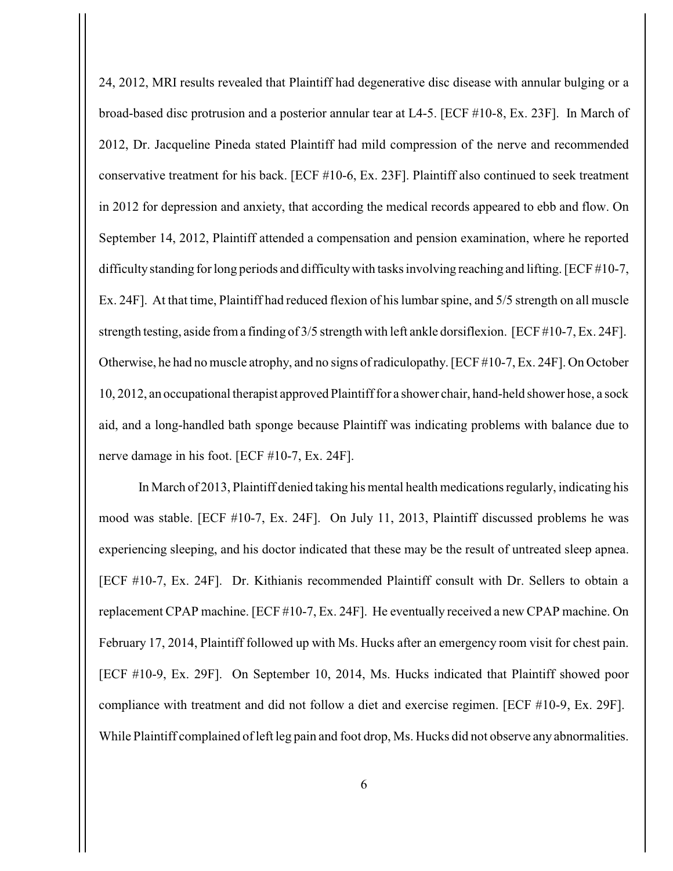24, 2012, MRI results revealed that Plaintiff had degenerative disc disease with annular bulging or a broad-based disc protrusion and a posterior annular tear at L4-5. [ECF #10-8, Ex. 23F]. In March of 2012, Dr. Jacqueline Pineda stated Plaintiff had mild compression of the nerve and recommended conservative treatment for his back. [ECF #10-6, Ex. 23F]. Plaintiff also continued to seek treatment in 2012 for depression and anxiety, that according the medical records appeared to ebb and flow. On September 14, 2012, Plaintiff attended a compensation and pension examination, where he reported difficulty standing for long periods and difficulty with tasks involving reaching and lifting. [ECF #10-7, Ex. 24F]. At that time, Plaintiff had reduced flexion of his lumbar spine, and 5/5 strength on all muscle strength testing, aside from a finding of 3/5 strength with left ankle dorsiflexion. [ECF #10-7, Ex. 24F]. Otherwise, he had no muscle atrophy, and no signs of radiculopathy. [ECF #10-7, Ex. 24F]. On October 10, 2012, an occupational therapist approved Plaintiff for a shower chair, hand-held shower hose, a sock aid, and a long-handled bath sponge because Plaintiff was indicating problems with balance due to nerve damage in his foot. [ECF #10-7, Ex. 24F].

In March of 2013, Plaintiff denied taking his mental health medications regularly, indicating his mood was stable. [ECF #10-7, Ex. 24F]. On July 11, 2013, Plaintiff discussed problems he was experiencing sleeping, and his doctor indicated that these may be the result of untreated sleep apnea. [ECF #10-7, Ex. 24F]. Dr. Kithianis recommended Plaintiff consult with Dr. Sellers to obtain a replacement CPAP machine. [ECF #10-7, Ex. 24F]. He eventually received a new CPAP machine. On February 17, 2014, Plaintiff followed up with Ms. Hucks after an emergency room visit for chest pain. [ECF #10-9, Ex. 29F]. On September 10, 2014, Ms. Hucks indicated that Plaintiff showed poor compliance with treatment and did not follow a diet and exercise regimen. [ECF #10-9, Ex. 29F]. While Plaintiff complained of left leg pain and foot drop, Ms. Hucks did not observe any abnormalities.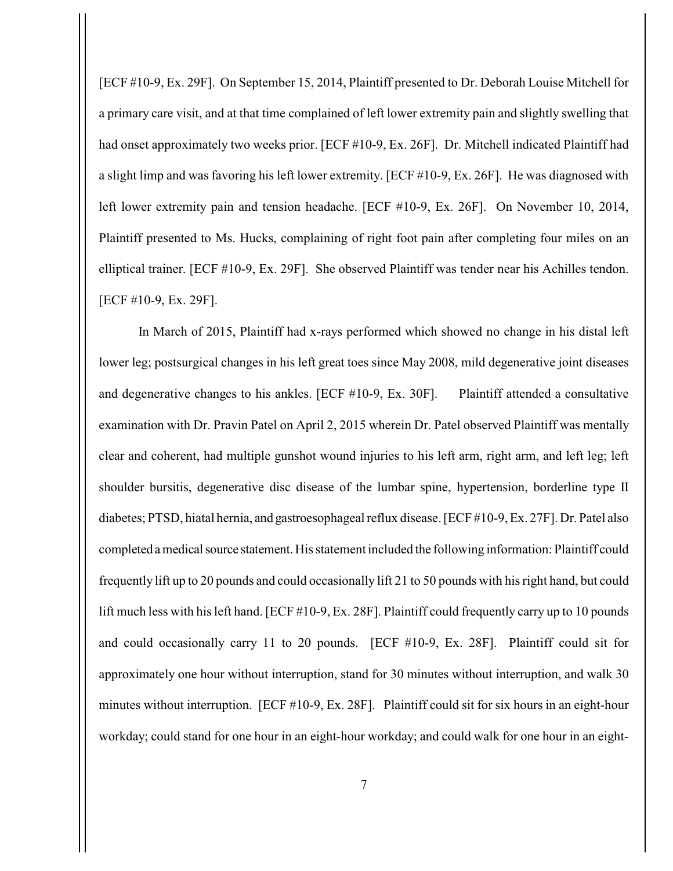[ECF #10-9, Ex. 29F]. On September 15, 2014, Plaintiff presented to Dr. Deborah Louise Mitchell for a primary care visit, and at that time complained of left lower extremity pain and slightly swelling that had onset approximately two weeks prior. [ECF #10-9, Ex. 26F]. Dr. Mitchell indicated Plaintiff had a slight limp and was favoring his left lower extremity. [ECF #10-9, Ex. 26F]. He was diagnosed with left lower extremity pain and tension headache. [ECF #10-9, Ex. 26F]. On November 10, 2014, Plaintiff presented to Ms. Hucks, complaining of right foot pain after completing four miles on an elliptical trainer. [ECF #10-9, Ex. 29F]. She observed Plaintiff was tender near his Achilles tendon. [ECF #10-9, Ex. 29F].

In March of 2015, Plaintiff had x-rays performed which showed no change in his distal left lower leg; postsurgical changes in his left great toes since May 2008, mild degenerative joint diseases and degenerative changes to his ankles. [ECF #10-9, Ex. 30F]. Plaintiff attended a consultative examination with Dr. Pravin Patel on April 2, 2015 wherein Dr. Patel observed Plaintiff was mentally clear and coherent, had multiple gunshot wound injuries to his left arm, right arm, and left leg; left shoulder bursitis, degenerative disc disease of the lumbar spine, hypertension, borderline type II diabetes; PTSD, hiatal hernia, and gastroesophageal reflux disease. [ECF #10-9, Ex. 27F]. Dr. Patel also completed a medical source statement. His statement included the following information: Plaintiff could frequently lift up to 20 pounds and could occasionally lift 21 to 50 pounds with his right hand, but could lift much less with his left hand. [ECF #10-9, Ex. 28F]. Plaintiff could frequently carry up to 10 pounds and could occasionally carry 11 to 20 pounds. [ECF #10-9, Ex. 28F]. Plaintiff could sit for approximately one hour without interruption, stand for 30 minutes without interruption, and walk 30 minutes without interruption. [ECF #10-9, Ex. 28F]. Plaintiff could sit for six hours in an eight-hour workday; could stand for one hour in an eight-hour workday; and could walk for one hour in an eight-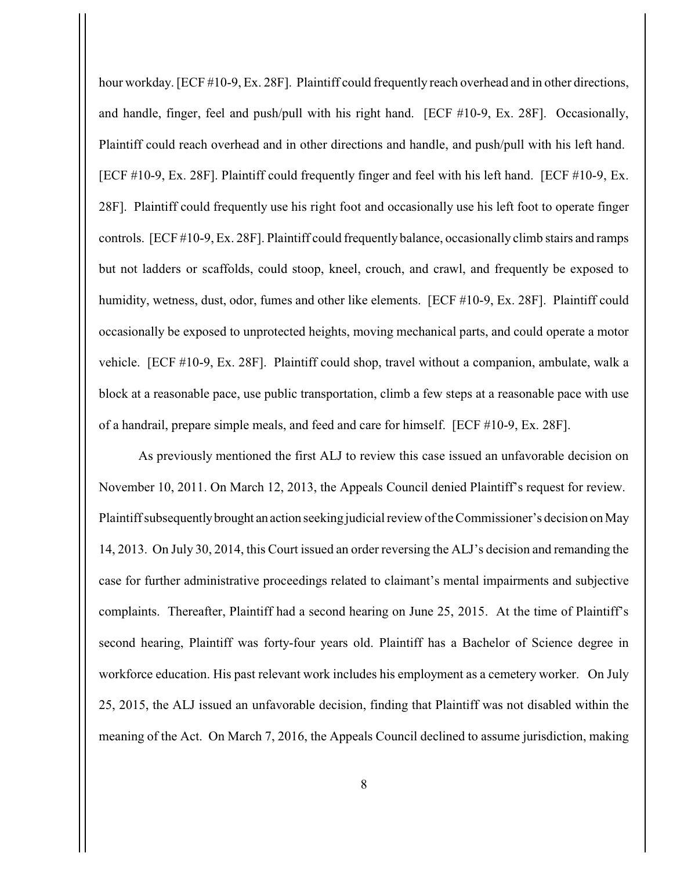hour workday. [ECF #10-9, Ex. 28F]. Plaintiff could frequently reach overhead and in other directions, and handle, finger, feel and push/pull with his right hand. [ECF #10-9, Ex. 28F]. Occasionally, Plaintiff could reach overhead and in other directions and handle, and push/pull with his left hand. [ECF #10-9, Ex. 28F]. Plaintiff could frequently finger and feel with his left hand. [ECF #10-9, Ex. 28F]. Plaintiff could frequently use his right foot and occasionally use his left foot to operate finger controls. [ECF #10-9, Ex. 28F]. Plaintiff could frequently balance, occasionally climb stairs and ramps but not ladders or scaffolds, could stoop, kneel, crouch, and crawl, and frequently be exposed to humidity, wetness, dust, odor, fumes and other like elements. [ECF #10-9, Ex. 28F]. Plaintiff could occasionally be exposed to unprotected heights, moving mechanical parts, and could operate a motor vehicle. [ECF #10-9, Ex. 28F]. Plaintiff could shop, travel without a companion, ambulate, walk a block at a reasonable pace, use public transportation, climb a few steps at a reasonable pace with use of a handrail, prepare simple meals, and feed and care for himself. [ECF #10-9, Ex. 28F].

As previously mentioned the first ALJ to review this case issued an unfavorable decision on November 10, 2011. On March 12, 2013, the Appeals Council denied Plaintiff's request for review. Plaintiff subsequently brought an action seeking judicial review of the Commissioner's decision on May 14, 2013. On July 30, 2014, this Court issued an order reversing the ALJ's decision and remanding the case for further administrative proceedings related to claimant's mental impairments and subjective complaints. Thereafter, Plaintiff had a second hearing on June 25, 2015. At the time of Plaintiff's second hearing, Plaintiff was forty-four years old. Plaintiff has a Bachelor of Science degree in workforce education. His past relevant work includes his employment as a cemetery worker. On July 25, 2015, the ALJ issued an unfavorable decision, finding that Plaintiff was not disabled within the meaning of the Act. On March 7, 2016, the Appeals Council declined to assume jurisdiction, making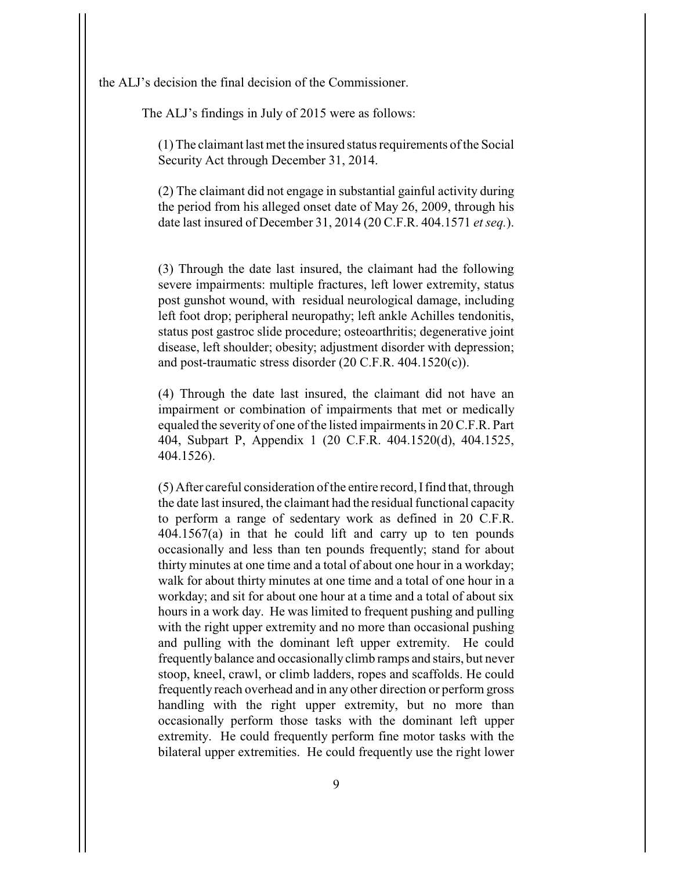the ALJ's decision the final decision of the Commissioner.

The ALJ's findings in July of 2015 were as follows:

(1) The claimant last met the insured status requirements of the Social Security Act through December 31, 2014.

(2) The claimant did not engage in substantial gainful activity during the period from his alleged onset date of May 26, 2009, through his date last insured of December 31, 2014 (20 C.F.R. 404.1571 *et seq.*).

(3) Through the date last insured, the claimant had the following severe impairments: multiple fractures, left lower extremity, status post gunshot wound, with residual neurological damage, including left foot drop; peripheral neuropathy; left ankle Achilles tendonitis, status post gastroc slide procedure; osteoarthritis; degenerative joint disease, left shoulder; obesity; adjustment disorder with depression; and post-traumatic stress disorder (20 C.F.R. 404.1520(c)).

(4) Through the date last insured, the claimant did not have an impairment or combination of impairments that met or medically equaled the severity of one of the listed impairments in 20 C.F.R. Part 404, Subpart P, Appendix 1 (20 C.F.R. 404.1520(d), 404.1525, 404.1526).

(5) After careful consideration of the entire record, I find that, through the date last insured, the claimant had the residual functional capacity to perform a range of sedentary work as defined in 20 C.F.R. 404.1567(a) in that he could lift and carry up to ten pounds occasionally and less than ten pounds frequently; stand for about thirty minutes at one time and a total of about one hour in a workday; walk for about thirty minutes at one time and a total of one hour in a workday; and sit for about one hour at a time and a total of about six hours in a work day. He was limited to frequent pushing and pulling with the right upper extremity and no more than occasional pushing and pulling with the dominant left upper extremity. He could frequently balance and occasionally climb ramps and stairs, but never stoop, kneel, crawl, or climb ladders, ropes and scaffolds. He could frequently reach overhead and in any other direction or perform gross handling with the right upper extremity, but no more than occasionally perform those tasks with the dominant left upper extremity. He could frequently perform fine motor tasks with the bilateral upper extremities. He could frequently use the right lower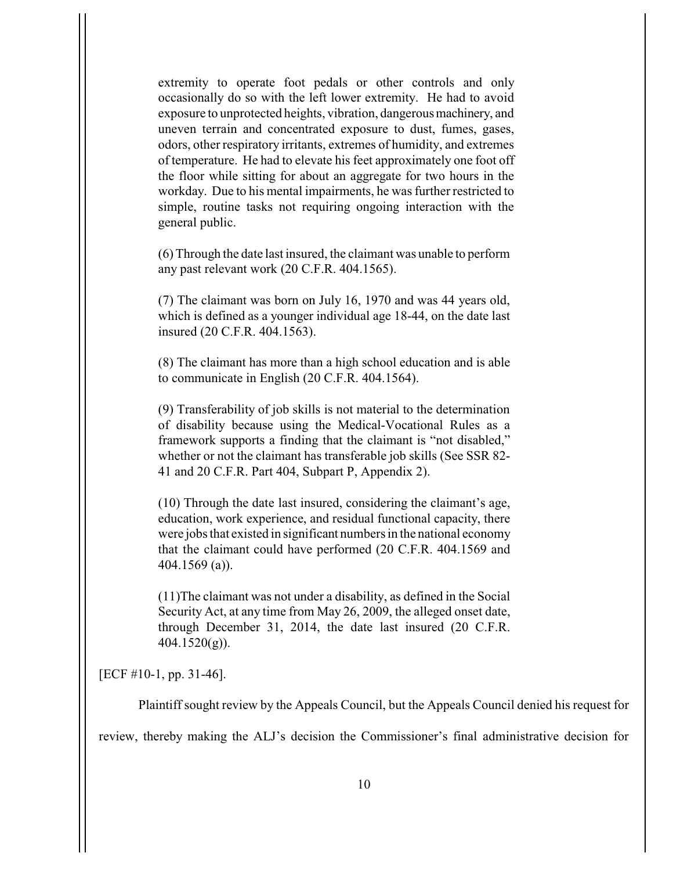extremity to operate foot pedals or other controls and only occasionally do so with the left lower extremity. He had to avoid exposure to unprotected heights, vibration, dangerous machinery, and uneven terrain and concentrated exposure to dust, fumes, gases, odors, other respiratory irritants, extremes of humidity, and extremes of temperature. He had to elevate his feet approximately one foot off the floor while sitting for about an aggregate for two hours in the workday. Due to his mental impairments, he was further restricted to simple, routine tasks not requiring ongoing interaction with the general public.

(6) Through the date last insured, the claimant was unable to perform any past relevant work (20 C.F.R. 404.1565).

(7) The claimant was born on July 16, 1970 and was 44 years old, which is defined as a younger individual age 18-44, on the date last insured (20 C.F.R. 404.1563).

(8) The claimant has more than a high school education and is able to communicate in English (20 C.F.R. 404.1564).

(9) Transferability of job skills is not material to the determination of disability because using the Medical-Vocational Rules as a framework supports a finding that the claimant is "not disabled," whether or not the claimant has transferable job skills (See SSR 82- 41 and 20 C.F.R. Part 404, Subpart P, Appendix 2).

(10) Through the date last insured, considering the claimant's age, education, work experience, and residual functional capacity, there were jobs that existed in significant numbers in the national economy that the claimant could have performed (20 C.F.R. 404.1569 and 404.1569 (a)).

(11)The claimant was not under a disability, as defined in the Social Security Act, at any time from May 26, 2009, the alleged onset date, through December 31, 2014, the date last insured (20 C.F.R.  $404.1520(g)$ ).

[ECF #10-1, pp. 31-46].

Plaintiff sought review by the Appeals Council, but the Appeals Council denied his request for

review, thereby making the ALJ's decision the Commissioner's final administrative decision for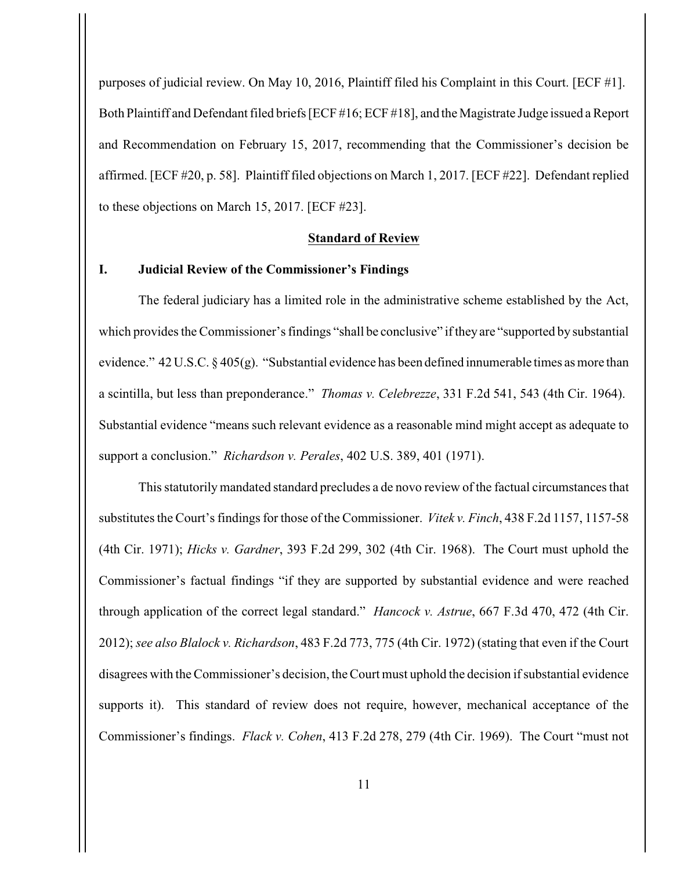purposes of judicial review. On May 10, 2016, Plaintiff filed his Complaint in this Court. [ECF #1]. Both Plaintiff and Defendant filed briefs [ECF #16; ECF #18], and the Magistrate Judge issued a Report and Recommendation on February 15, 2017, recommending that the Commissioner's decision be affirmed. [ECF #20, p. 58]. Plaintiff filed objections on March 1, 2017. [ECF #22]. Defendant replied to these objections on March 15, 2017. [ECF #23].

## **Standard of Review**

#### **I. Judicial Review of the Commissioner's Findings**

The federal judiciary has a limited role in the administrative scheme established by the Act, which provides the Commissioner's findings "shall be conclusive" if they are "supported by substantial evidence." 42 U.S.C. § 405(g). "Substantial evidence has been defined innumerable times as more than a scintilla, but less than preponderance." *Thomas v. Celebrezze*, 331 F.2d 541, 543 (4th Cir. 1964). Substantial evidence "means such relevant evidence as a reasonable mind might accept as adequate to support a conclusion." *Richardson v. Perales*, 402 U.S. 389, 401 (1971).

This statutorily mandated standard precludes a de novo review of the factual circumstances that substitutes the Court's findings for those of the Commissioner. *Vitek v. Finch*, 438 F.2d 1157, 1157-58 (4th Cir. 1971); *Hicks v. Gardner*, 393 F.2d 299, 302 (4th Cir. 1968). The Court must uphold the Commissioner's factual findings "if they are supported by substantial evidence and were reached through application of the correct legal standard." *Hancock v. Astrue*, 667 F.3d 470, 472 (4th Cir. 2012); *see also Blalock v. Richardson*, 483 F.2d 773, 775 (4th Cir. 1972) (stating that even if the Court disagrees with the Commissioner's decision, the Court must uphold the decision if substantial evidence supports it). This standard of review does not require, however, mechanical acceptance of the Commissioner's findings. *Flack v. Cohen*, 413 F.2d 278, 279 (4th Cir. 1969). The Court "must not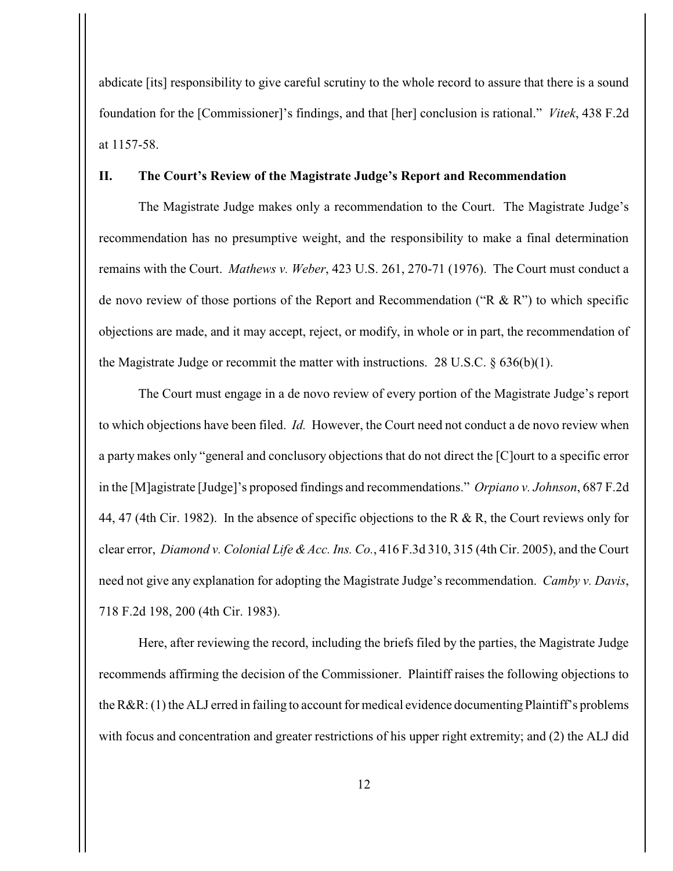abdicate [its] responsibility to give careful scrutiny to the whole record to assure that there is a sound foundation for the [Commissioner]'s findings, and that [her] conclusion is rational." *Vitek*, 438 F.2d at 1157-58.

## **II. The Court's Review of the Magistrate Judge's Report and Recommendation**

The Magistrate Judge makes only a recommendation to the Court. The Magistrate Judge's recommendation has no presumptive weight, and the responsibility to make a final determination remains with the Court. *Mathews v. Weber*, 423 U.S. 261, 270-71 (1976). The Court must conduct a de novo review of those portions of the Report and Recommendation ("R & R") to which specific objections are made, and it may accept, reject, or modify, in whole or in part, the recommendation of the Magistrate Judge or recommit the matter with instructions. 28 U.S.C.  $\S 636(b)(1)$ .

The Court must engage in a de novo review of every portion of the Magistrate Judge's report to which objections have been filed. *Id.* However, the Court need not conduct a de novo review when a party makes only "general and conclusory objections that do not direct the [C]ourt to a specific error in the [M]agistrate [Judge]'s proposed findings and recommendations." *Orpiano v. Johnson*, 687 F.2d 44, 47 (4th Cir. 1982). In the absence of specific objections to the R & R, the Court reviews only for clear error, *Diamond v. Colonial Life & Acc. Ins. Co.*, 416 F.3d 310, 315 (4th Cir. 2005), and the Court need not give any explanation for adopting the Magistrate Judge's recommendation. *Camby v. Davis*, 718 F.2d 198, 200 (4th Cir. 1983).

Here, after reviewing the record, including the briefs filed by the parties, the Magistrate Judge recommends affirming the decision of the Commissioner. Plaintiff raises the following objections to the R&R: (1) the ALJ erred in failing to account for medical evidence documenting Plaintiff's problems with focus and concentration and greater restrictions of his upper right extremity; and (2) the ALJ did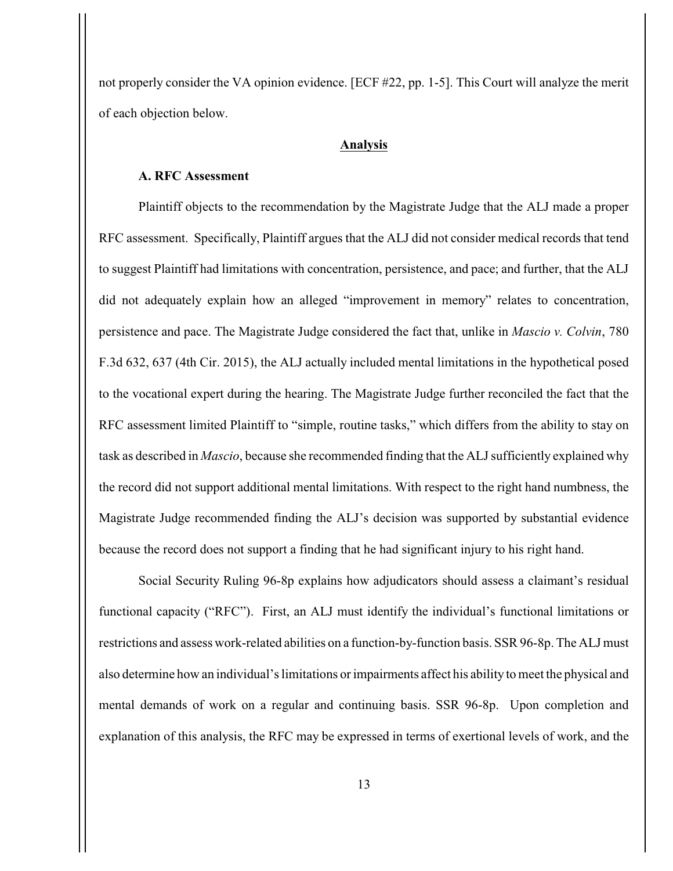not properly consider the VA opinion evidence. [ECF #22, pp. 1-5]. This Court will analyze the merit of each objection below.

### **Analysis**

# **A. RFC Assessment**

Plaintiff objects to the recommendation by the Magistrate Judge that the ALJ made a proper RFC assessment. Specifically, Plaintiff argues that the ALJ did not consider medical records that tend to suggest Plaintiff had limitations with concentration, persistence, and pace; and further, that the ALJ did not adequately explain how an alleged "improvement in memory" relates to concentration, persistence and pace. The Magistrate Judge considered the fact that, unlike in *Mascio v. Colvin*, 780 F.3d 632, 637 (4th Cir. 2015), the ALJ actually included mental limitations in the hypothetical posed to the vocational expert during the hearing. The Magistrate Judge further reconciled the fact that the RFC assessment limited Plaintiff to "simple, routine tasks," which differs from the ability to stay on task as described in *Mascio*, because she recommended finding that the ALJ sufficiently explained why the record did not support additional mental limitations. With respect to the right hand numbness, the Magistrate Judge recommended finding the ALJ's decision was supported by substantial evidence because the record does not support a finding that he had significant injury to his right hand.

Social Security Ruling 96-8p explains how adjudicators should assess a claimant's residual functional capacity ("RFC"). First, an ALJ must identify the individual's functional limitations or restrictions and assess work-related abilities on a function-by-function basis. SSR 96-8p. The ALJ must also determine how an individual's limitations or impairments affect his ability to meet the physical and mental demands of work on a regular and continuing basis. SSR 96-8p. Upon completion and explanation of this analysis, the RFC may be expressed in terms of exertional levels of work, and the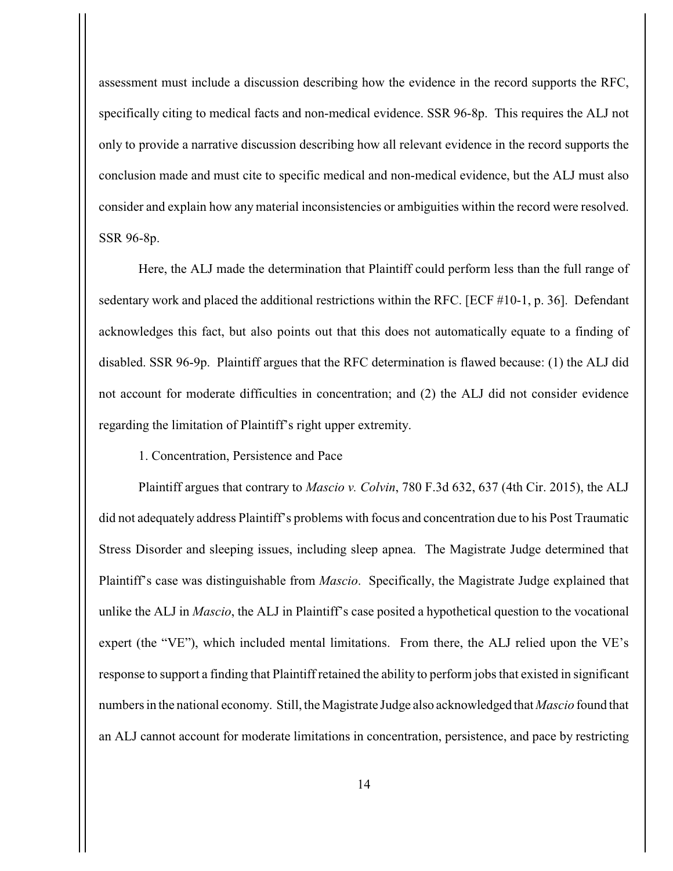assessment must include a discussion describing how the evidence in the record supports the RFC, specifically citing to medical facts and non-medical evidence. SSR 96-8p. This requires the ALJ not only to provide a narrative discussion describing how all relevant evidence in the record supports the conclusion made and must cite to specific medical and non-medical evidence, but the ALJ must also consider and explain how any material inconsistencies or ambiguities within the record were resolved. SSR 96-8p.

Here, the ALJ made the determination that Plaintiff could perform less than the full range of sedentary work and placed the additional restrictions within the RFC. [ECF #10-1, p. 36]. Defendant acknowledges this fact, but also points out that this does not automatically equate to a finding of disabled. SSR 96-9p. Plaintiff argues that the RFC determination is flawed because: (1) the ALJ did not account for moderate difficulties in concentration; and (2) the ALJ did not consider evidence regarding the limitation of Plaintiff's right upper extremity.

1. Concentration, Persistence and Pace

Plaintiff argues that contrary to *Mascio v. Colvin*, 780 F.3d 632, 637 (4th Cir. 2015), the ALJ did not adequately address Plaintiff's problems with focus and concentration due to his Post Traumatic Stress Disorder and sleeping issues, including sleep apnea. The Magistrate Judge determined that Plaintiff's case was distinguishable from *Mascio*. Specifically, the Magistrate Judge explained that unlike the ALJ in *Mascio*, the ALJ in Plaintiff's case posited a hypothetical question to the vocational expert (the "VE"), which included mental limitations. From there, the ALJ relied upon the VE's response to support a finding that Plaintiff retained the ability to perform jobs that existed in significant numbers in the national economy. Still, the Magistrate Judge also acknowledged that *Mascio* found that an ALJ cannot account for moderate limitations in concentration, persistence, and pace by restricting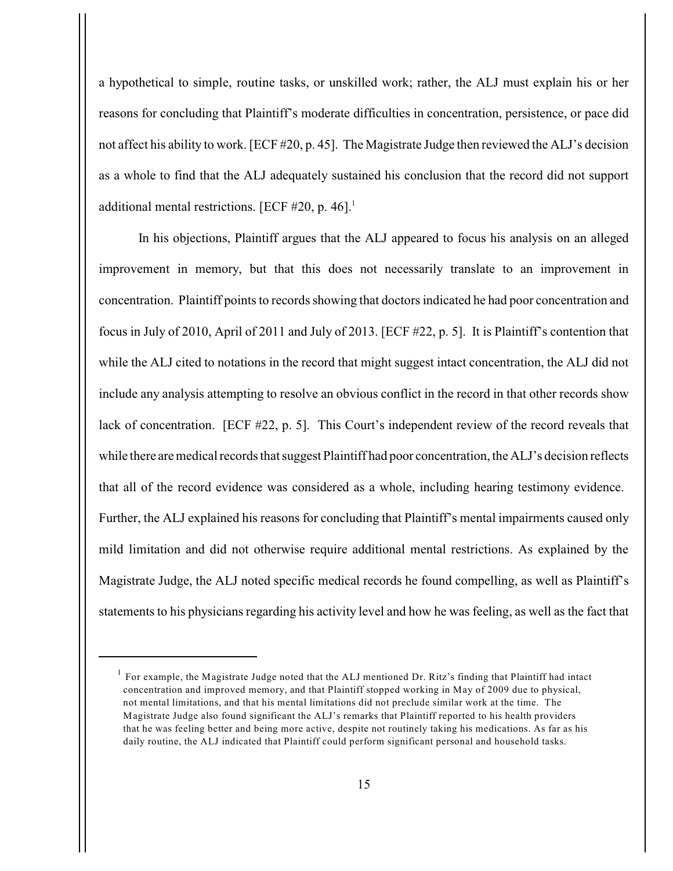a hypothetical to simple, routine tasks, or unskilled work; rather, the ALJ must explain his or her reasons for concluding that Plaintiff's moderate difficulties in concentration, persistence, or pace did not affect his ability to work. [ECF #20, p. 45]. The Magistrate Judge then reviewed the ALJ's decision as a whole to find that the ALJ adequately sustained his conclusion that the record did not support additional mental restrictions. [ECF  $#20$ , p. 46].<sup>1</sup>

In his objections, Plaintiff argues that the ALJ appeared to focus his analysis on an alleged improvement in memory, but that this does not necessarily translate to an improvement in concentration. Plaintiff points to records showing that doctors indicated he had poor concentration and focus in July of 2010, April of 2011 and July of 2013. [ECF #22, p. 5]. It is Plaintiff's contention that while the ALJ cited to notations in the record that might suggest intact concentration, the ALJ did not include any analysis attempting to resolve an obvious conflict in the record in that other records show lack of concentration. [ECF #22, p. 5]. This Court's independent review of the record reveals that while there are medical records that suggest Plaintiff had poor concentration, the ALJ's decision reflects that all of the record evidence was considered as a whole, including hearing testimony evidence. Further, the ALJ explained his reasons for concluding that Plaintiff's mental impairments caused only mild limitation and did not otherwise require additional mental restrictions. As explained by the Magistrate Judge, the ALJ noted specific medical records he found compelling, as well as Plaintiff's statements to his physicians regarding his activity level and how he was feeling, as well as the fact that

For example, the Magistrate Judge noted that the ALJ mentioned Dr. Ritz's finding that Plaintiff had intact <sup>1</sup> concentration and improved memory, and that Plaintiff stopped working in May of 2009 due to physical, not mental limitations, and that his mental limitations did not preclude similar work at the time. The Magistrate Judge also found significant the ALJ's remarks that Plaintiff reported to his health providers that he was feeling better and being more active, despite not routinely taking his medications. As far as his daily routine, the ALJ indicated that Plaintiff could perform significant personal and household tasks.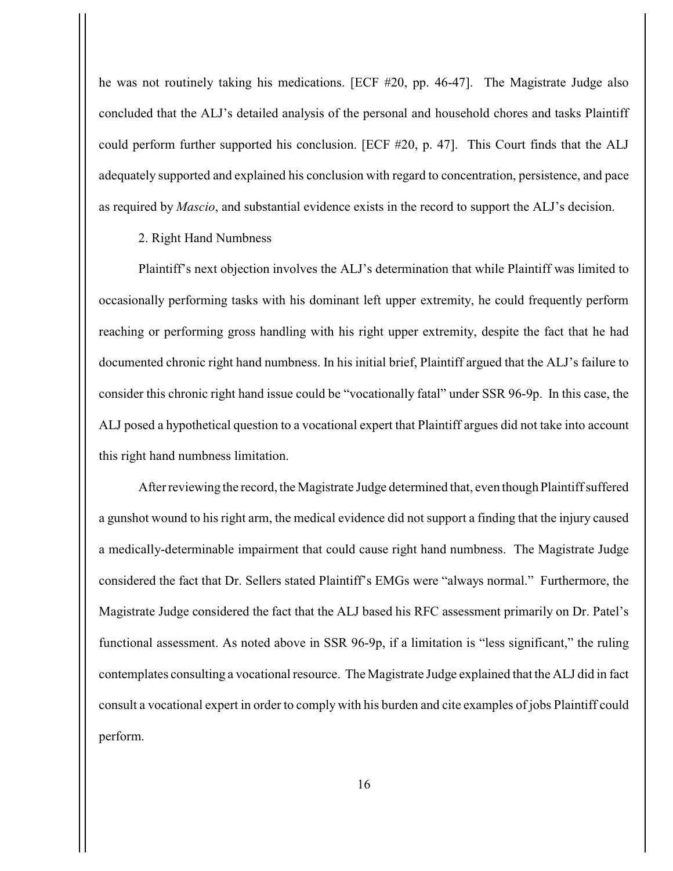he was not routinely taking his medications. [ECF #20, pp. 46-47]. The Magistrate Judge also concluded that the ALJ's detailed analysis of the personal and household chores and tasks Plaintiff could perform further supported his conclusion. [ECF #20, p. 47]. This Court finds that the ALJ adequately supported and explained his conclusion with regard to concentration, persistence, and pace as required by *Mascio*, and substantial evidence exists in the record to support the ALJ's decision.

### 2. Right Hand Numbness

Plaintiff's next objection involves the ALJ's determination that while Plaintiff was limited to occasionally performing tasks with his dominant left upper extremity, he could frequently perform reaching or performing gross handling with his right upper extremity, despite the fact that he had documented chronic right hand numbness. In his initial brief, Plaintiff argued that the ALJ's failure to consider this chronic right hand issue could be "vocationally fatal" under SSR 96-9p. In this case, the ALJ posed a hypothetical question to a vocational expert that Plaintiff argues did not take into account this right hand numbness limitation.

After reviewing the record, the Magistrate Judge determined that, even though Plaintiff suffered a gunshot wound to his right arm, the medical evidence did not support a finding that the injury caused a medically-determinable impairment that could cause right hand numbness. The Magistrate Judge considered the fact that Dr. Sellers stated Plaintiff's EMGs were "always normal." Furthermore, the Magistrate Judge considered the fact that the ALJ based his RFC assessment primarily on Dr. Patel's functional assessment. As noted above in SSR 96-9p, if a limitation is "less significant," the ruling contemplates consulting a vocational resource. The Magistrate Judge explained that the ALJ did in fact consult a vocational expert in order to comply with his burden and cite examples of jobs Plaintiff could perform.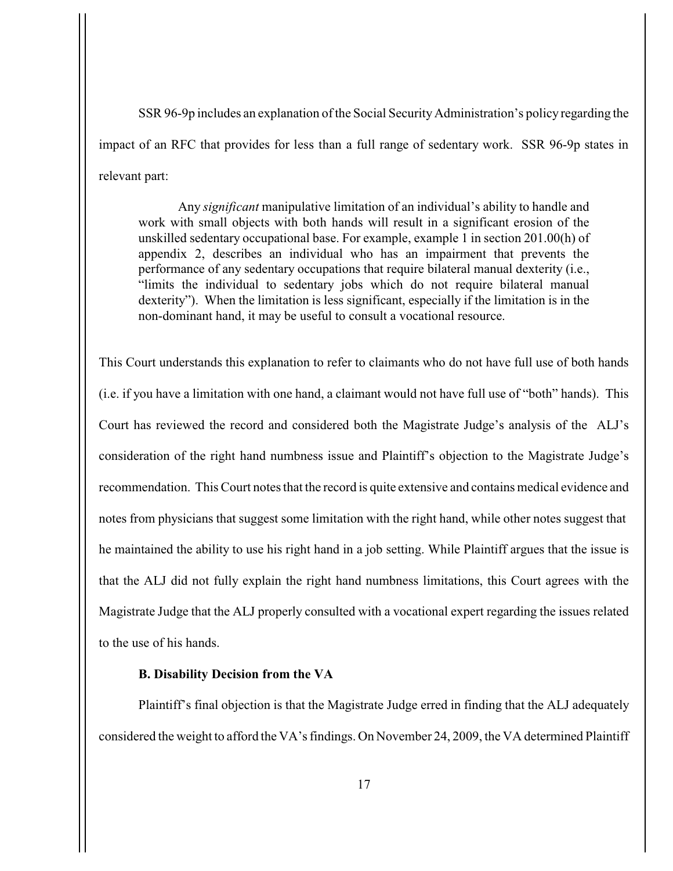SSR 96-9p includes an explanation of the Social Security Administration's policy regarding the impact of an RFC that provides for less than a full range of sedentary work. SSR 96-9p states in relevant part:

Any *significant* manipulative limitation of an individual's ability to handle and work with small objects with both hands will result in a significant erosion of the unskilled sedentary occupational base. For example, example 1 in section 201.00(h) of appendix 2, describes an individual who has an impairment that prevents the performance of any sedentary occupations that require bilateral manual dexterity (i.e., "limits the individual to sedentary jobs which do not require bilateral manual dexterity"). When the limitation is less significant, especially if the limitation is in the non-dominant hand, it may be useful to consult a vocational resource.

This Court understands this explanation to refer to claimants who do not have full use of both hands (i.e. if you have a limitation with one hand, a claimant would not have full use of "both" hands). This Court has reviewed the record and considered both the Magistrate Judge's analysis of the ALJ's consideration of the right hand numbness issue and Plaintiff's objection to the Magistrate Judge's recommendation. This Court notes that the record is quite extensive and contains medical evidence and notes from physicians that suggest some limitation with the right hand, while other notes suggest that he maintained the ability to use his right hand in a job setting. While Plaintiff argues that the issue is that the ALJ did not fully explain the right hand numbness limitations, this Court agrees with the Magistrate Judge that the ALJ properly consulted with a vocational expert regarding the issues related to the use of his hands.

### **B. Disability Decision from the VA**

Plaintiff's final objection is that the Magistrate Judge erred in finding that the ALJ adequately considered the weight to afford the VA's findings. On November 24, 2009, the VA determined Plaintiff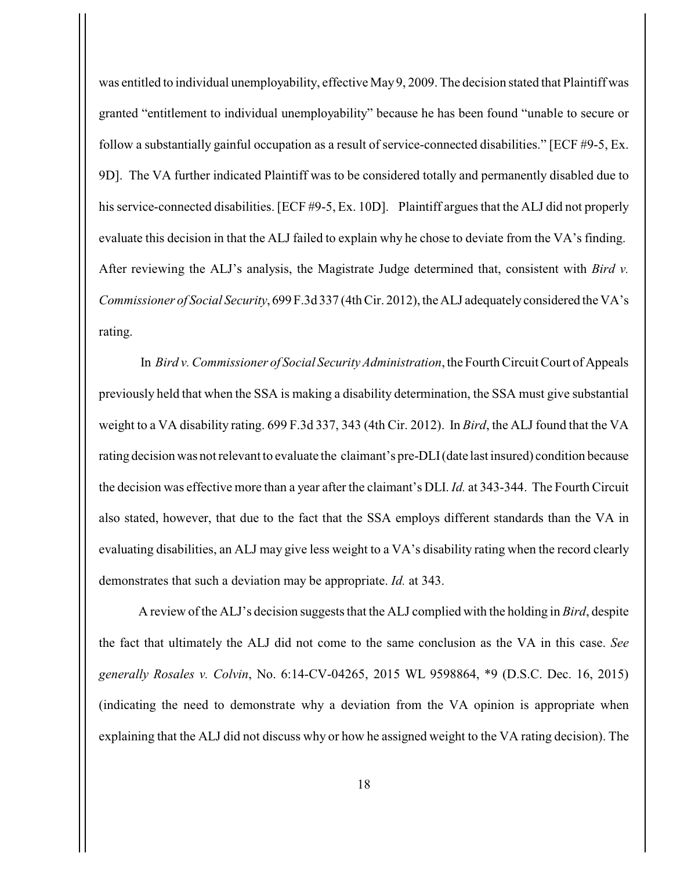was entitled to individual unemployability, effective May 9, 2009. The decision stated that Plaintiff was granted "entitlement to individual unemployability" because he has been found "unable to secure or follow a substantially gainful occupation as a result of service-connected disabilities." [ECF #9-5, Ex. 9D]. The VA further indicated Plaintiff was to be considered totally and permanently disabled due to his service-connected disabilities. [ECF #9-5, Ex. 10D]. Plaintiff argues that the ALJ did not properly evaluate this decision in that the ALJ failed to explain why he chose to deviate from the VA's finding. After reviewing the ALJ's analysis, the Magistrate Judge determined that, consistent with *Bird v. Commissioner of Social Security*, 699 F.3d 337 (4th Cir. 2012), the ALJ adequately considered the VA's rating.

 In *Bird v. Commissioner of Social Security Administration*, the Fourth Circuit Court of Appeals previously held that when the SSA is making a disability determination, the SSA must give substantial weight to a VA disability rating. 699 F.3d 337, 343 (4th Cir. 2012). In *Bird*, the ALJ found that the VA rating decision was not relevant to evaluate the claimant's pre-DLI (date last insured) condition because the decision was effective more than a year after the claimant's DLI. *Id.* at 343-344. The Fourth Circuit also stated, however, that due to the fact that the SSA employs different standards than the VA in evaluating disabilities, an ALJ may give less weight to a VA's disability rating when the record clearly demonstrates that such a deviation may be appropriate. *Id.* at 343.

A review of the ALJ's decision suggests that the ALJ complied with the holding in *Bird*, despite the fact that ultimately the ALJ did not come to the same conclusion as the VA in this case. *See generally Rosales v. Colvin*, No. 6:14-CV-04265, 2015 WL 9598864, \*9 (D.S.C. Dec. 16, 2015) (indicating the need to demonstrate why a deviation from the VA opinion is appropriate when explaining that the ALJ did not discuss why or how he assigned weight to the VA rating decision). The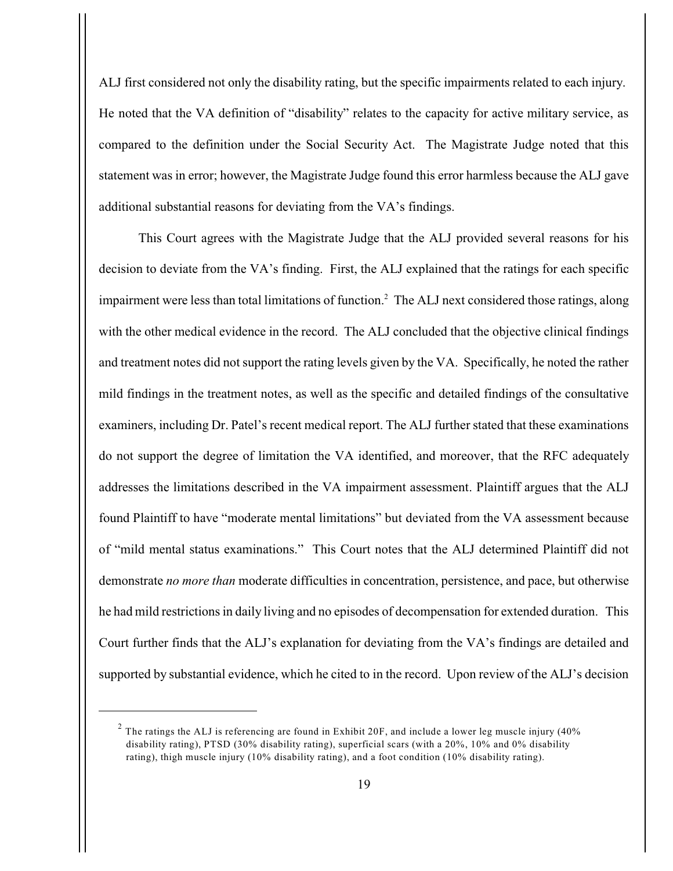ALJ first considered not only the disability rating, but the specific impairments related to each injury. He noted that the VA definition of "disability" relates to the capacity for active military service, as compared to the definition under the Social Security Act. The Magistrate Judge noted that this statement was in error; however, the Magistrate Judge found this error harmless because the ALJ gave additional substantial reasons for deviating from the VA's findings.

This Court agrees with the Magistrate Judge that the ALJ provided several reasons for his decision to deviate from the VA's finding. First, the ALJ explained that the ratings for each specific impairment were less than total limitations of function.<sup>2</sup> The ALJ next considered those ratings, along with the other medical evidence in the record. The ALJ concluded that the objective clinical findings and treatment notes did not support the rating levels given by the VA. Specifically, he noted the rather mild findings in the treatment notes, as well as the specific and detailed findings of the consultative examiners, including Dr. Patel's recent medical report. The ALJ further stated that these examinations do not support the degree of limitation the VA identified, and moreover, that the RFC adequately addresses the limitations described in the VA impairment assessment. Plaintiff argues that the ALJ found Plaintiff to have "moderate mental limitations" but deviated from the VA assessment because of "mild mental status examinations." This Court notes that the ALJ determined Plaintiff did not demonstrate *no more than* moderate difficulties in concentration, persistence, and pace, but otherwise he had mild restrictions in daily living and no episodes of decompensation for extended duration. This Court further finds that the ALJ's explanation for deviating from the VA's findings are detailed and supported by substantial evidence, which he cited to in the record. Upon review of the ALJ's decision

 $2$  The ratings the ALJ is referencing are found in Exhibit 20F, and include a lower leg muscle injury (40%) disability rating), PTSD (30% disability rating), superficial scars (with a 20%, 10% and 0% disability rating), thigh muscle injury (10% disability rating), and a foot condition (10% disability rating).